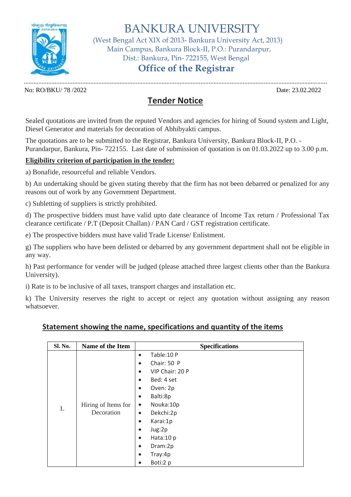

 BANKURA UNIVERSITY (West Bengal Act XIX of 2013- Bankura University Act, 2013) Main Campus, Bankura Block-II, P.O.: Purandarpur, Dist.: Bankura, Pin- 722155, West Bengal

## **Office of the Registrar**

No: RO/BKU/ 78 /2022 Date: 23.02.2022

...........................................................................................................................................................................................

## **Tender Notice**

Sealed quotations are invited from the reputed Vendors and agencies for hiring of Sound system and Light, Diesel Generator and materials for decoration of Abhibyakti campus.

The quotations are to be submitted to the Registrar, Bankura University, Bankura Block-II, P.O. - Purandarpur, Bankura, Pin- 722155. Last date of submission of quotation is on 01.03.2022 up to 3.00 p.m.

## **Eligibility criterion of participation in the tender:**

a) Bonafide, resourceful and reliable Vendors.

b) An undertaking should be given stating thereby that the firm has not been debarred or penalized for any reasons out of work by any Government Department.

c) Subletting of suppliers is strictly prohibited.

d) The prospective bidders must have valid upto date clearance of Income Tax return / Professional Tax clearance certificate / P.T (Deposit Challan) / PAN Card / GST registration certificate.

e) The prospective bidders must have valid Trade License/ Enlistment.

g) The suppliers who have been delisted or debarred by any government department shall not be eligible in any way.

h) Past performance for vender will be judged (please attached three largest clients other than the Bankura University).

i) Rate is to be inclusive of all taxes, transport charges and installation etc.

k) The University reserves the right to accept or reject any quotation without assigning any reason whatsoever.

## **Statement showing the name, specifications and quantity of the items**

| Sl. No. | <b>Name of the Item</b>           | <b>Specifications</b>                                                                                                                                                                                                                                                                                                                                                    |
|---------|-----------------------------------|--------------------------------------------------------------------------------------------------------------------------------------------------------------------------------------------------------------------------------------------------------------------------------------------------------------------------------------------------------------------------|
| 1.      | Hiring of Items for<br>Decoration | Table: 10 P<br>$\bullet$<br>Chair: 50 P<br>$\bullet$<br>VIP Chair: 20 P<br>$\bullet$<br>Bed: 4 set<br>$\bullet$<br>Oven: 2p<br>$\bullet$<br>Balti:8p<br>$\bullet$<br>Nouka:10p<br>$\bullet$<br>Dekchi:2p<br>$\bullet$<br>Karai:1p<br>$\bullet$<br>Jug:2p<br>$\bullet$<br>Hata:10 p<br>$\bullet$<br>Dram:2p<br>$\bullet$<br>Tray:4p<br>$\bullet$<br>Boti:2 p<br>$\bullet$ |